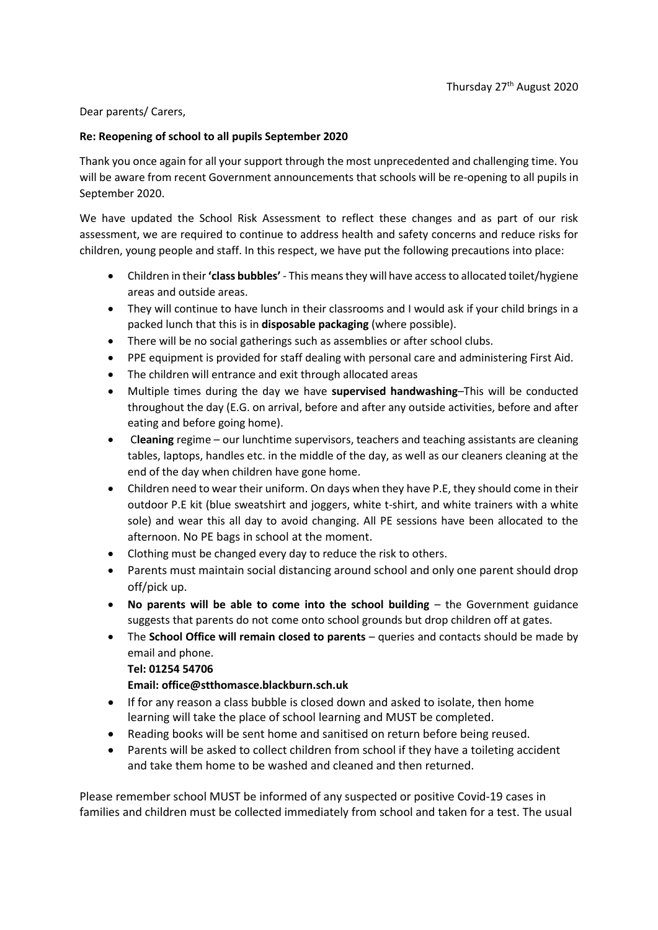## Dear parents/ Carers,

## **Re: Reopening of school to all pupils September 2020**

Thank you once again for all your support through the most unprecedented and challenging time. You will be aware from recent Government announcements that schools will be re-opening to all pupils in September 2020.

We have updated the School Risk Assessment to reflect these changes and as part of our risk assessment, we are required to continue to address health and safety concerns and reduce risks for children, young people and staff. In this respect, we have put the following precautions into place:

- Children in their **'class bubbles'** This means they will have access to allocated toilet/hygiene areas and outside areas.
- They will continue to have lunch in their classrooms and I would ask if your child brings in a packed lunch that this is in **disposable packaging** (where possible).
- There will be no social gatherings such as assemblies or after school clubs.
- PPE equipment is provided for staff dealing with personal care and administering First Aid.
- The children will entrance and exit through allocated areas
- Multiple times during the day we have **supervised handwashing**–This will be conducted throughout the day (E.G. on arrival, before and after any outside activities, before and after eating and before going home).
- C**leaning** regime our lunchtime supervisors, teachers and teaching assistants are cleaning tables, laptops, handles etc. in the middle of the day, as well as our cleaners cleaning at the end of the day when children have gone home.
- Children need to wear their uniform. On days when they have P.E, they should come in their outdoor P.E kit (blue sweatshirt and joggers, white t-shirt, and white trainers with a white sole) and wear this all day to avoid changing. All PE sessions have been allocated to the afternoon. No PE bags in school at the moment.
- Clothing must be changed every day to reduce the risk to others.
- Parents must maintain social distancing around school and only one parent should drop off/pick up.
- **No parents will be able to come into the school building the Government guidance** suggests that parents do not come onto school grounds but drop children off at gates.
- The **School Office will remain closed to parents** queries and contacts should be made by email and phone.

## **Tel: 01254 54706**

## **Email: office@stthomasce.blackburn.sch.uk**

- If for any reason a class bubble is closed down and asked to isolate, then home learning will take the place of school learning and MUST be completed.
- Reading books will be sent home and sanitised on return before being reused.
- Parents will be asked to collect children from school if they have a toileting accident and take them home to be washed and cleaned and then returned.

Please remember school MUST be informed of any suspected or positive Covid-19 cases in families and children must be collected immediately from school and taken for a test. The usual